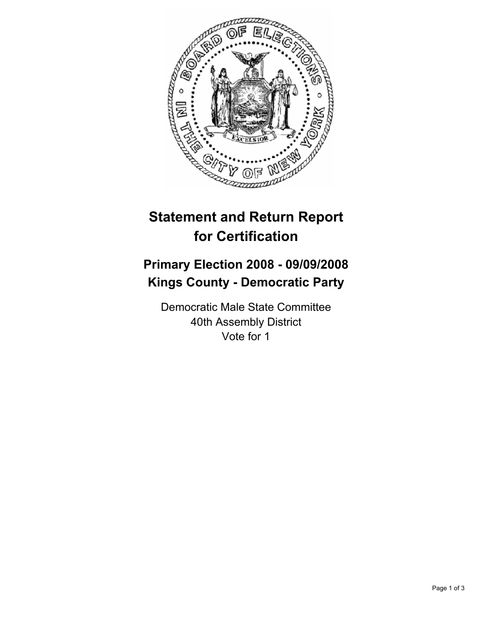

## **Statement and Return Report for Certification**

## **Primary Election 2008 - 09/09/2008 Kings County - Democratic Party**

Democratic Male State Committee 40th Assembly District Vote for 1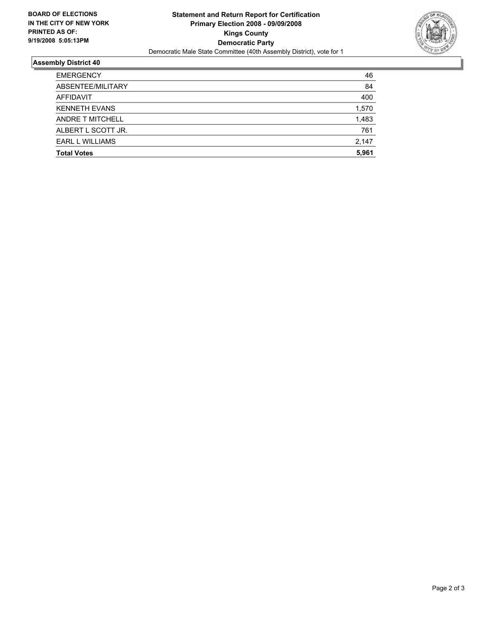

## **Assembly District 40**

| <b>EMERGENCY</b>       | 46    |
|------------------------|-------|
| ABSENTEE/MILITARY      | 84    |
| AFFIDAVIT              | 400   |
| <b>KENNETH EVANS</b>   | 1,570 |
| ANDRE T MITCHELL       | 1,483 |
| ALBERT L SCOTT JR.     | 761   |
| <b>EARL L WILLIAMS</b> | 2,147 |
| <b>Total Votes</b>     | 5,961 |